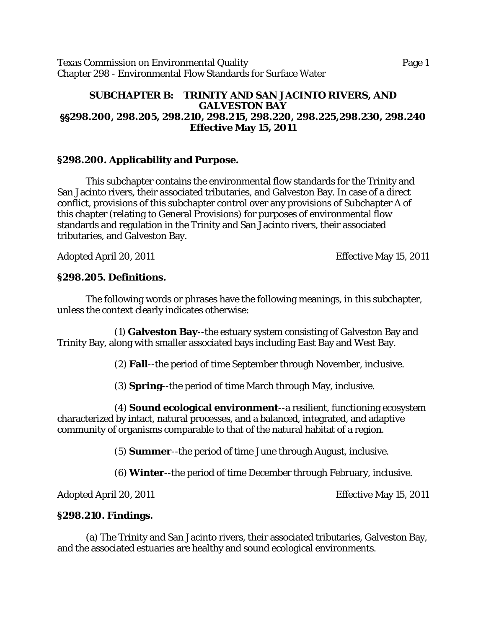Texas Commission on Environmental Quality Page 1 Chapter 298 - Environmental Flow Standards for Surface Water

### **SUBCHAPTER B: TRINITY AND SAN JACINTO RIVERS, AND GALVESTON BAY** ''**298.200, 298.205, 298.210, 298.215, 298.220, 298.225,298.230, 298.240 Effective May 15, 2011**

### **§298.200. Applicability and Purpose.**

This subchapter contains the environmental flow standards for the Trinity and San Jacinto rivers, their associated tributaries, and Galveston Bay. In case of a direct conflict, provisions of this subchapter control over any provisions of Subchapter A of this chapter (relating to General Provisions) for purposes of environmental flow standards and regulation in the Trinity and San Jacinto rivers, their associated tributaries, and Galveston Bay.

Adopted April 20, 2011 **Effective May 15, 2011** 

### **§298.205. Definitions.**

The following words or phrases have the following meanings, in this subchapter, unless the context clearly indicates otherwise:

(1) **Galveston Bay**--the estuary system consisting of Galveston Bay and Trinity Bay, along with smaller associated bays including East Bay and West Bay.

(2) **Fall**--the period of time September through November, inclusive.

(3) **Spring**--the period of time March through May, inclusive.

(4) **Sound ecological environment**--a resilient, functioning ecosystem characterized by intact, natural processes, and a balanced, integrated, and adaptive community of organisms comparable to that of the natural habitat of a region.

(5) **Summer**--the period of time June through August, inclusive.

(6) **Winter**--the period of time December through February, inclusive.

Adopted April 20, 2011 **Effective May 15, 2011** 

# **§298.210. Findings.**

(a) The Trinity and San Jacinto rivers, their associated tributaries, Galveston Bay, and the associated estuaries are healthy and sound ecological environments.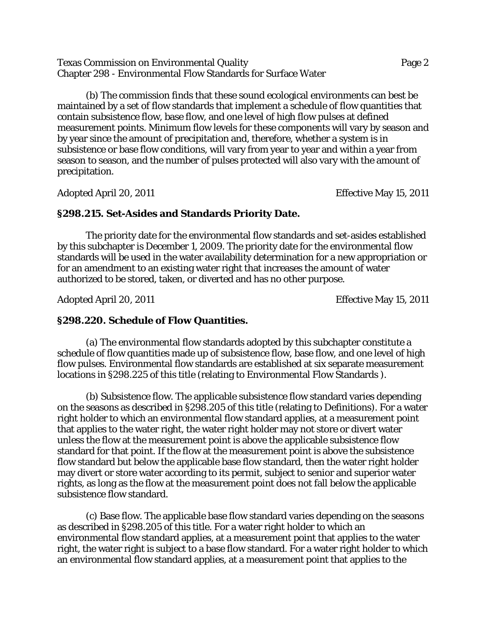Texas Commission on Environmental Quality Page 2 Chapter 298 - Environmental Flow Standards for Surface Water

(b) The commission finds that these sound ecological environments can best be maintained by a set of flow standards that implement a schedule of flow quantities that contain subsistence flow, base flow, and one level of high flow pulses at defined measurement points. Minimum flow levels for these components will vary by season and by year since the amount of precipitation and, therefore, whether a system is in subsistence or base flow conditions, will vary from year to year and within a year from season to season, and the number of pulses protected will also vary with the amount of precipitation.

Adopted April 20, 2011 **Effective May 15, 2011** 

#### **§298.215. Set-Asides and Standards Priority Date.**

The priority date for the environmental flow standards and set-asides established by this subchapter is December 1, 2009. The priority date for the environmental flow standards will be used in the water availability determination for a new appropriation or for an amendment to an existing water right that increases the amount of water authorized to be stored, taken, or diverted and has no other purpose.

Adopted April 20, 2011 **Effective May 15, 2011** 

### **§298.220. Schedule of Flow Quantities.**

(a) The environmental flow standards adopted by this subchapter constitute a schedule of flow quantities made up of subsistence flow, base flow, and one level of high flow pulses. Environmental flow standards are established at six separate measurement locations in §298.225 of this title (relating to Environmental Flow Standards ).

(b) Subsistence flow. The applicable subsistence flow standard varies depending on the seasons as described in §298.205 of this title (relating to Definitions). For a water right holder to which an environmental flow standard applies, at a measurement point that applies to the water right, the water right holder may not store or divert water unless the flow at the measurement point is above the applicable subsistence flow standard for that point. If the flow at the measurement point is above the subsistence flow standard but below the applicable base flow standard, then the water right holder may divert or store water according to its permit, subject to senior and superior water rights, as long as the flow at the measurement point does not fall below the applicable subsistence flow standard.

(c) Base flow. The applicable base flow standard varies depending on the seasons as described in §298.205 of this title. For a water right holder to which an environmental flow standard applies, at a measurement point that applies to the water right, the water right is subject to a base flow standard. For a water right holder to which an environmental flow standard applies, at a measurement point that applies to the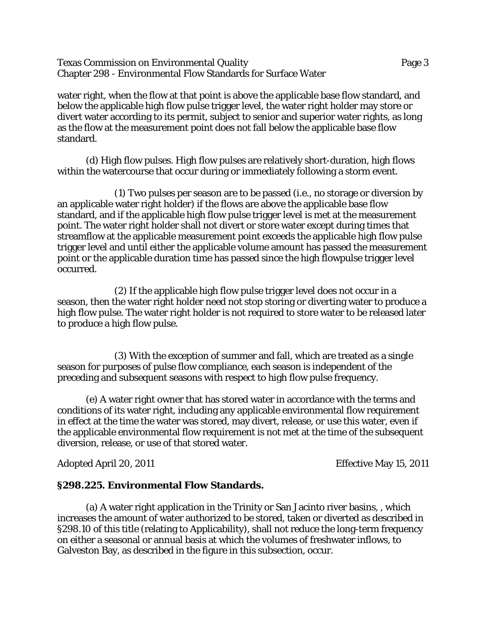Texas Commission on Environmental Quality Page 3 Chapter 298 - Environmental Flow Standards for Surface Water

water right, when the flow at that point is above the applicable base flow standard, and below the applicable high flow pulse trigger level, the water right holder may store or divert water according to its permit, subject to senior and superior water rights, as long as the flow at the measurement point does not fall below the applicable base flow standard.

(d) High flow pulses. High flow pulses are relatively short-duration, high flows within the watercourse that occur during or immediately following a storm event.

(1) Two pulses per season are to be passed (i.e., no storage or diversion by an applicable water right holder) if the flows are above the applicable base flow standard, and if the applicable high flow pulse trigger level is met at the measurement point. The water right holder shall not divert or store water except during times that streamflow at the applicable measurement point exceeds the applicable high flow pulse trigger level and until either the applicable volume amount has passed the measurement point or the applicable duration time has passed since the high flowpulse trigger level occurred.

(2) If the applicable high flow pulse trigger level does not occur in a season, then the water right holder need not stop storing or diverting water to produce a high flow pulse. The water right holder is not required to store water to be released later to produce a high flow pulse.

(3) With the exception of summer and fall, which are treated as a single season for purposes of pulse flow compliance, each season is independent of the preceding and subsequent seasons with respect to high flow pulse frequency.

(e) A water right owner that has stored water in accordance with the terms and conditions of its water right, including any applicable environmental flow requirement in effect at the time the water was stored, may divert, release, or use this water, even if the applicable environmental flow requirement is not met at the time of the subsequent diversion, release, or use of that stored water.

Adopted April 20, 2011 **Effective May 15, 2011** 

#### **§298.225. Environmental Flow Standards.**

(a) A water right application in the Trinity or San Jacinto river basins, , which increases the amount of water authorized to be stored, taken or diverted as described in §298.10 of this title (relating to Applicability), shall not reduce the long-term frequency on either a seasonal or annual basis at which the volumes of freshwater inflows, to Galveston Bay, as described in the figure in this subsection, occur.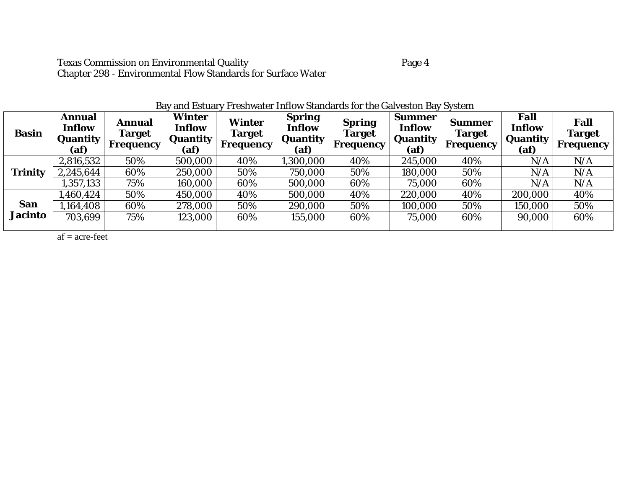| <b>Basin</b>   | Annual<br><b>Inflow</b><br>Quantity<br>(af) | Annual<br><b>Target</b><br>Frequency | <b>Winter</b><br>Inflow<br>Quantity<br>(a f) | <b>Winter</b><br><b>Target</b><br>Frequency | <b>Spring</b><br>Inflow<br>Quantity<br>(af) | <b>Spring</b><br>Target<br>Frequency | <b>Summer</b><br>Inflow<br>Quantity<br>(af) | <b>Summer</b><br><b>Target</b><br>Frequency | <b>Fall</b><br>Inflow<br><b>Quantity</b><br>(af) | Fall<br><b>Target</b><br>Frequency |
|----------------|---------------------------------------------|--------------------------------------|----------------------------------------------|---------------------------------------------|---------------------------------------------|--------------------------------------|---------------------------------------------|---------------------------------------------|--------------------------------------------------|------------------------------------|
|                | 2,816,532                                   | 50%                                  | 500,000                                      | 40%                                         | 1,300,000                                   | 40%                                  | 245,000                                     | 40%                                         | N/A                                              | N/A                                |
| <b>Trinity</b> | 2,245,644                                   | 60%                                  | 250,000                                      | 50%                                         | 750,000                                     | 50%                                  | 180,000                                     | 50%                                         | N/A                                              | N/A                                |
|                | 1,357,133                                   | 75%                                  | 160,000                                      | 60%                                         | 500,000                                     | 60%                                  | 75,000                                      | 60%                                         | N/A                                              | N/A                                |
|                | 1,460,424                                   | 50%                                  | 450,000                                      | 40%                                         | 500,000                                     | 40%                                  | 220,000                                     | 40%                                         | 200,000                                          | 40%                                |
| <b>San</b>     | 1,164,408                                   | 60%                                  | 278,000                                      | 50%                                         | 290,000                                     | 50%                                  | 100,000                                     | 50%                                         | 150,000                                          | 50%                                |
| <b>Jacinto</b> | 703,699                                     | 75%                                  | 123,000                                      | 60%                                         | 155,000                                     | 60%                                  | 75,000                                      | 60%                                         | 90,000                                           | 60%                                |
|                |                                             |                                      |                                              |                                             |                                             |                                      |                                             |                                             |                                                  |                                    |

# Bay and Estuary Freshwater Inflow Standards for the Galveston Bay System

 $af = acre-free$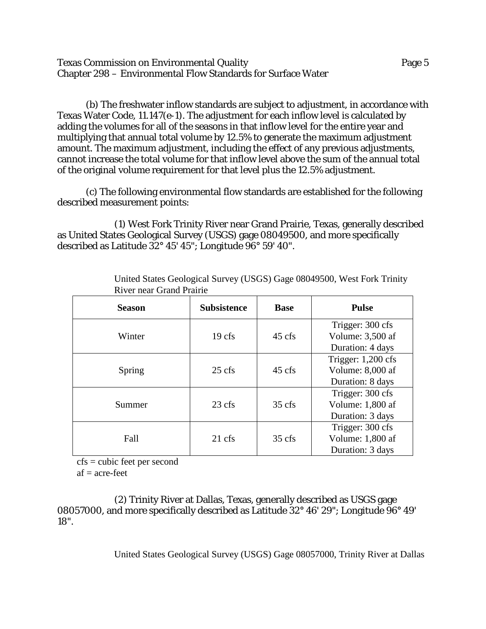Texas Commission on Environmental Quality Page 5 Chapter 298 – Environmental Flow Standards for Surface Water

(b) The freshwater inflow standards are subject to adjustment, in accordance with Texas Water Code, 11.147(e-1). The adjustment for each inflow level is calculated by adding the volumes for all of the seasons in that inflow level for the entire year and multiplying that annual total volume by 12.5% to generate the maximum adjustment amount. The maximum adjustment, including the effect of any previous adjustments, cannot increase the total volume for that inflow level above the sum of the annual total of the original volume requirement for that level plus the 12.5% adjustment.

(c) The following environmental flow standards are established for the following described measurement points:

(1) West Fork Trinity River near Grand Prairie, Texas, generally described as United States Geological Survey (USGS) gage 08049500, and more specifically described as Latitude 32° 45' 45"; Longitude 96° 59' 40".

| <b>Season</b> | <b>Subsistence</b> | <b>Base</b>      | <b>Pulse</b>                         |  |
|---------------|--------------------|------------------|--------------------------------------|--|
| Winter        | $19$ cfs           | $45 \text{ cfs}$ | Trigger: 300 cfs<br>Volume: 3,500 af |  |
|               |                    |                  | Duration: 4 days                     |  |
|               |                    |                  | Trigger: $1,200$ cfs                 |  |
| Spring        | $25 \text{ cfs}$   | $45 \text{ cfs}$ | Volume: 8,000 af                     |  |
|               |                    |                  | Duration: 8 days                     |  |
|               |                    |                  | Trigger: 300 cfs                     |  |
| Summer        | $23 \text{ cfs}$   | $35 \text{ cfs}$ | Volume: 1,800 af                     |  |
|               |                    |                  | Duration: 3 days                     |  |
|               |                    |                  | Trigger: 300 cfs                     |  |
| Fall          | $21 \text{ cfs}$   | $35 \text{ cfs}$ | Volume: 1,800 af                     |  |
|               |                    |                  | Duration: 3 days                     |  |

United States Geological Survey (USGS) Gage 08049500, West Fork Trinity River near Grand Prairie

cfs = cubic feet per second

 $af = acre-free$ 

(2) Trinity River at Dallas, Texas, generally described as USGS gage 08057000, and more specifically described as Latitude 32° 46' 29"; Longitude 96° 49' 18".

United States Geological Survey (USGS) Gage 08057000, Trinity River at Dallas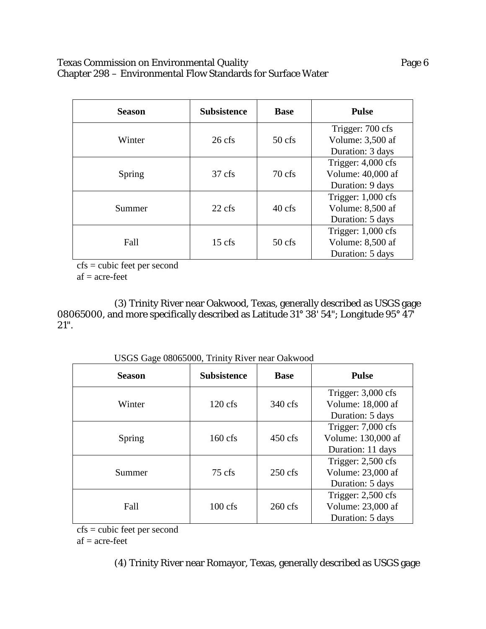### Texas Commission on Environmental Quality **Page 6** Page 6 Chapter 298 – Environmental Flow Standards for Surface Water

| <b>Season</b> | <b>Subsistence</b> | <b>Base</b>      | <b>Pulse</b>                                                  |  |
|---------------|--------------------|------------------|---------------------------------------------------------------|--|
| Winter        | $26 \text{ cfs}$   | $50 \text{ cfs}$ | Trigger: 700 cfs<br>Volume: 3,500 af<br>Duration: 3 days      |  |
| Spring        | $37 \text{ cfs}$   | $70 \text{ cfs}$ | Trigger: $4,000$ cfs<br>Volume: 40,000 af<br>Duration: 9 days |  |
| Summer        | $22 \text{ cfs}$   | $40 \text{ cfs}$ | Trigger: $1,000$ cfs<br>Volume: 8,500 af<br>Duration: 5 days  |  |
| Fall          | $15$ cfs           | $50$ cfs         | Trigger: $1,000$ cfs<br>Volume: 8,500 af<br>Duration: 5 days  |  |

cfs = cubic feet per second

 $af = acre-free$ 

(3) Trinity River near Oakwood, Texas, generally described as USGS gage 08065000, and more specifically described as Latitude 31° 38' 54"; Longitude 95° 47' 21".

| USUS UARE 00005000, THILLY KIVEL HEAL OAKWOOD |                               |                   |                                                                 |  |  |
|-----------------------------------------------|-------------------------------|-------------------|-----------------------------------------------------------------|--|--|
| <b>Season</b>                                 | <b>Subsistence</b>            | <b>Base</b>       | <b>Pulse</b>                                                    |  |  |
| Winter                                        | $120 \text{ cfs}$             | 340 cfs           | Trigger: $3,000$ cfs<br>Volume: 18,000 af<br>Duration: 5 days   |  |  |
| Spring                                        | $160 \text{ cfs}$             | $450 \text{ cfs}$ | Trigger: $7,000$ cfs<br>Volume: 130,000 af<br>Duration: 11 days |  |  |
| Summer                                        | $250$ cfs<br>$75 \text{ cfs}$ |                   | Trigger: $2,500$ cfs<br>Volume: 23,000 af<br>Duration: 5 days   |  |  |
| Fall                                          | $100 \text{ cfs}$             | $260 \text{ cfs}$ | Trigger: $2,500$ cfs<br>Volume: 23,000 af<br>Duration: 5 days   |  |  |

USGS Gage 08065000, Trinity River near Oakwood

cfs = cubic feet per second

 $af = acre-free$ 

(4) Trinity River near Romayor, Texas, generally described as USGS gage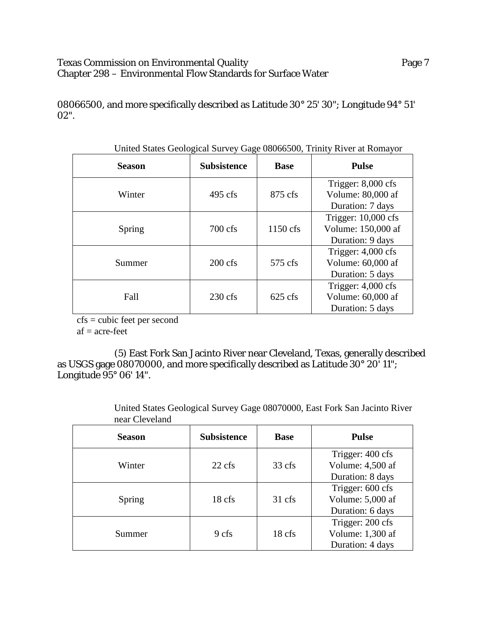### Texas Commission on Environmental Quality **Page 7** Page 7 Chapter 298 – Environmental Flow Standards for Surface Water

08066500, and more specifically described as Latitude 30° 25' 30"; Longitude 94° 51' 02".

| <b>Season</b> | <b>Subsistence</b>           | <b>Base</b>       | <b>Pulse</b>                                                    |  |  |  |
|---------------|------------------------------|-------------------|-----------------------------------------------------------------|--|--|--|
| Winter        | $495 \text{ cfs}$<br>875 cfs |                   | Trigger: $8,000$ cfs<br>Volume: 80,000 af<br>Duration: 7 days   |  |  |  |
| Spring        | $700 \text{ cfs}$            | 1150 cfs          | Trigger: $10,000$ cfs<br>Volume: 150,000 af<br>Duration: 9 days |  |  |  |
| Summer        | $200 \text{ cfs}$            | $575 \text{ cfs}$ | Trigger: $4,000$ cfs<br>Volume: 60,000 af<br>Duration: 5 days   |  |  |  |
| Fall          | $230 \text{ cfs}$            | $625$ cfs         | Trigger: $4,000$ cfs<br>Volume: 60,000 af<br>Duration: 5 days   |  |  |  |

United States Geological Survey Gage 08066500, Trinity River at Romayor

 $\overline{cfs}$  = cubic feet per second

 $af = acre-free$ 

(5) East Fork San Jacinto River near Cleveland, Texas, generally described as USGS gage 08070000, and more specifically described as Latitude 30° 20' 11"; Longitude 95° 06' 14".

**Season Subsistence Base Pulse** Winter 22 cfs 33 cfs Trigger: 400 cfs Volume: 4,500 af Duration: 8 days Spring 18 cfs 31 cfs Trigger: 600 cfs Volume: 5,000 af Duration: 6 days Summer 9 cfs 18 cfs Trigger: 200 cfs Volume: 1,300 af Duration: 4 days

United States Geological Survey Gage 08070000, East Fork San Jacinto River near Cleveland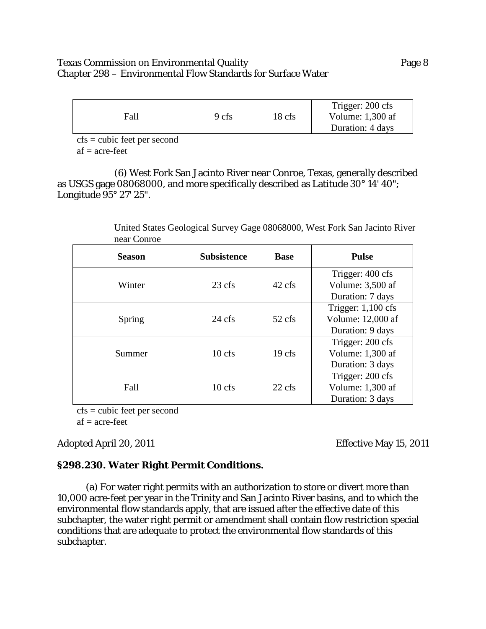### Texas Commission on Environmental Quality Page 8 Chapter 298 – Environmental Flow Standards for Surface Water

| Fall | 9 cfs | 18 cfs | Trigger: 200 cfs<br>Volume: $1,300$ af<br>Duration: 4 days |
|------|-------|--------|------------------------------------------------------------|
|------|-------|--------|------------------------------------------------------------|

cfs = cubic feet per second  $af = acre-free$ 

(6) West Fork San Jacinto River near Conroe, Texas, generally described as USGS gage 08068000, and more specifically described as Latitude 30° 14' 40"; Longitude 95° 27' 25".

> United States Geological Survey Gage 08068000, West Fork San Jacinto River near Conroe

| <b>Season</b> | <b>Subsistence</b> | <b>Base</b>       | <b>Pulse</b>                         |
|---------------|--------------------|-------------------|--------------------------------------|
| Winter        | $23 \text{ cfs}$   | 42 cfs            | Trigger: 400 cfs<br>Volume: 3,500 af |
|               |                    |                   | Duration: 7 days                     |
|               |                    | 52 cfs            | Trigger: $1,100$ cfs                 |
| Spring        | $24 \text{ cfs}$   |                   | Volume: 12,000 af                    |
|               |                    |                   | Duration: 9 days                     |
|               | $10 \text{ cfs}$   | 19 <sub>cfs</sub> | Trigger: 200 cfs                     |
| Summer        |                    |                   | Volume: 1,300 af                     |
|               |                    |                   | Duration: 3 days                     |
|               |                    | $22 \text{ cfs}$  | Trigger: 200 cfs                     |
| Fall          | $10$ cfs           |                   | Volume: 1,300 af                     |
|               |                    |                   | Duration: 3 days                     |

cfs = cubic feet per second

 $af = acre-free$ 

# Adopted April 20, 2011 **Effective May 15, 2011**

# **§298.230. Water Right Permit Conditions.**

(a) For water right permits with an authorization to store or divert more than 10,000 acre-feet per year in the Trinity and San Jacinto River basins, and to which the environmental flow standards apply, that are issued after the effective date of this subchapter, the water right permit or amendment shall contain flow restriction special conditions that are adequate to protect the environmental flow standards of this subchapter.